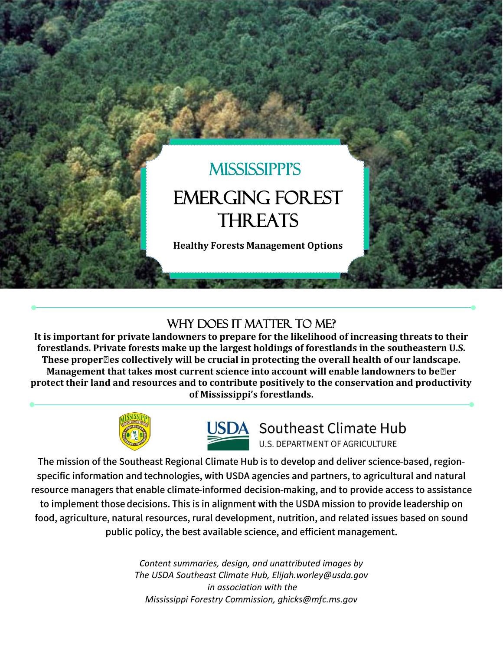### **MISSISSIPPI'S**

# EMERGING FOREST **THREATS**

**Healthy Forests Management Options** 

#### WHY DOES IT MATTER TO ME?

**It is important for private landowners to prepare for the likelihood of increasing threats to their forestlands. Private forests make up the largest holdings of forestlands in the southeastern U.S. These properes collectively will be crucial in protecting the overall health of our landscape. Management that takes most current science into account will enable landowners to be<sup>[2]</sup>er protect their land and resources and to contribute positively to the conservation and productivity of Mississippi's forestlands.**





## **USDA** Southeast Climate Hub

U.S. DEPARTMENT OF AGRICULTURE

The mission of the Southeast Regional Climate Hub is to develop and deliver science-based, regionspecific information and technologies, with USDA agencies and partners, to agricultural and natural resource managers that enable climate-informed decision-making, and to provide access to assistance to implement those decisions. This is in alignment with the USDA mission to provide leadership on food, agriculture, natural resources, rural development, nutrition, and related issues based on sound public policy, the best available science, and efficient management.

> *Content summaries, design, and unattributed images by The USDA Southeast Climate Hub, Elijah.worley@usda.gov in association with the Mississippi Forestry Commission, ghicks@mfc.ms.gov*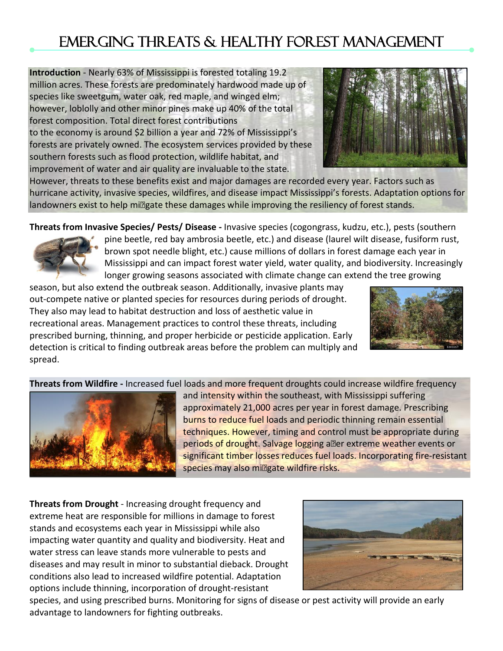### EMERGING THREATS & HEALTHY FOREST MANAGEMENT Ī

**Introduction** - Nearly 63% of Mississippi is forested totaling 19.2 million acres. These forests are predominately hardwood made up of species like sweetgum, water oak, red maple, and winged elm; however, loblolly and other minor pines make up 40% of the total forest composition. Total direct forest contributions to the economy is around \$2 billion a year and 72% of Mississippi's forests are privately owned. The ecosystem services provided by these southern forests such as flood protection, wildlife habitat, and improvement of water and air quality are invaluable to the state.



However, threats to these benefits exist and major damages are recorded every year. Factors such as hurricane activity, invasive species, wildfires, and disease impact Mississippi's forests. Adaptation options for landowners exist to help mi@gate these damages while improving the resiliency of forest stands.

**Threats from Invasive Species/ Pests/ Disease -** Invasive species (cogongrass, kudzu, etc.), pests (southern



pine beetle, red bay ambrosia beetle, etc.) and disease (laurel wilt disease, fusiform rust, brown spot needle blight, etc.) cause millions of dollars in forest damage each year in Mississippi and can impact forest water yield, water quality, and biodiversity. Increasingly longer growing seasons associated with climate change can extend the tree growing

season, but also extend the outbreak season. Additionally, invasive plants may out-compete native or planted species for resources during periods of drought. They also may lead to habitat destruction and loss of aesthetic value in recreational areas. Management practices to control these threats, including prescribed burning, thinning, and proper herbicide or pesticide application. Early detection is critical to finding outbreak areas before the problem can multiply and spread.



**Threats from Wildfire -** Increased fuel loads and more frequent droughts could increase wildfire frequency



and intensity within the southeast, with Mississippi suffering approximately 21,000 acres per year in forest damage. Prescribing burns to reduce fuel loads and periodic thinning remain essential techniques. However, timing and control must be appropriate during periods of drought. Salvage logging aller extreme weather events or significant timber losses reduces fuel loads. Incorporating fire-resistant species may also mi**ngate wildfire risks.** 

**Threats from Drought** - Increasing drought frequency and extreme heat are responsible for millions in damage to forest stands and ecosystems each year in Mississippi while also impacting water quantity and quality and biodiversity. Heat and water stress can leave stands more vulnerable to pests and diseases and may result in minor to substantial dieback. Drought conditions also lead to increased wildfire potential. Adaptation options include thinning, incorporation of drought-resistant



species, and using prescribed burns. Monitoring for signs of disease or pest activity will provide an early advantage to landowners for fighting outbreaks.